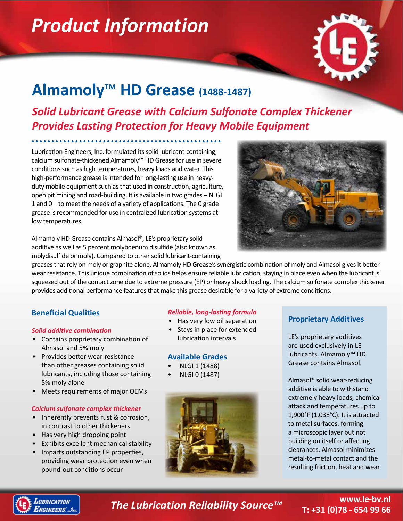# *Product Information*



# **Almamoly**™ **HD Grease (1488-1487)**

# *Solid Lubricant Grease with Calcium Sulfonate Complex Thickener Provides Lasting Protection for Heavy Mobile Equipment*

Lubrication Engineers, Inc. formulated its solid lubricant-containing, calcium sulfonate-thickened Almamoly™ HD Grease for use in severe conditions such as high temperatures, heavy loads and water. This high-performance grease is intended for long-lasting use in heavyduty mobile equipment such as that used in construction, agriculture, open pit mining and road-building. It is available in two grades – NLGI 1 and 0 – to meet the needs of a variety of applications. The 0 grade grease is recommended for use in centralized lubrication systems at low temperatures.

Almamoly HD Grease contains Almasol®, LE's proprietary solid additive as well as 5 percent molybdenum disulfide (also known as molydisulfide or moly). Compared to other solid lubricant-containing



greases that rely on moly or graphite alone, Almamoly HD Grease's synergistic combination of moly and Almasol gives it better wear resistance. This unique combination of solids helps ensure reliable lubrication, staying in place even when the lubricant is squeezed out of the contact zone due to extreme pressure (EP) or heavy shock loading. The calcium sulfonate complex thickener provides additional performance features that make this grease desirable for a variety of extreme conditions.

# **Beneficial Qualities**

## *Solid additive combination*

- Contains proprietary combination of Almasol and 5% moly
- Provides better wear-resistance than other greases containing solid lubricants, including those containing 5% moly alone
- Meets requirements of major OEMs

## *Calcium sulfonate complex thickener*

- Inherently prevents rust & corrosion, in contrast to other thickeners
- Has very high dropping point
- Exhibits excellent mechanical stability
- Imparts outstanding EP properties, providing wear protection even when pound-out conditions occur

# *Reliable, long-lasting formula*

- Has very low oil separation
- Stays in place for extended lubrication intervals

# **Available Grades**

- NLGI 1 (1488)
- NLGI 0 (1487)



# **Proprietary Additives**

LE's proprietary additives are used exclusively in LE lubricants. Almamoly™ HD Grease contains Almasol.

Almasol® solid wear-reducing additive is able to withstand extremely heavy loads, chemical attack and temperatures up to 1,900°F (1,038°C). It is attracted to metal surfaces, forming a microscopic layer but not building on itself or affecting clearances. Almasol minimizes metal-to-metal contact and the resulting friction, heat and wear.



*The Lubrication Reliability Source™* **www.le-bv.nl**